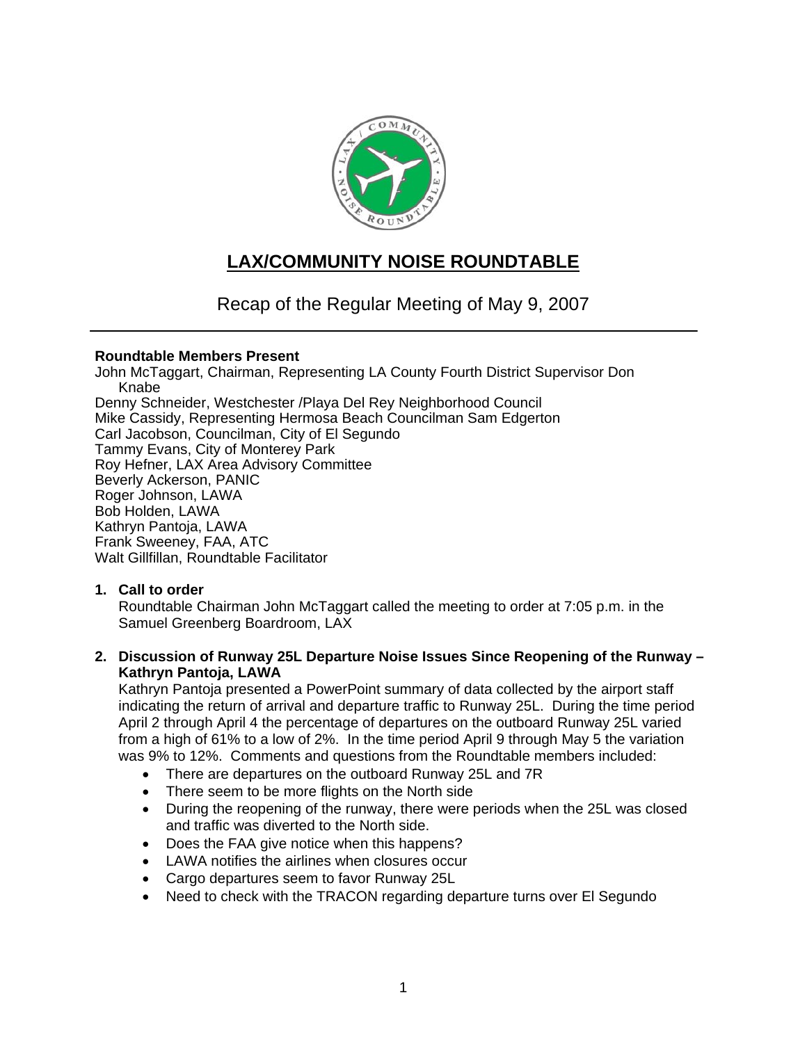

# **LAX/COMMUNITY NOISE ROUNDTABLE**

Recap of the Regular Meeting of May 9, 2007

# **Roundtable Members Present**

John McTaggart, Chairman, Representing LA County Fourth District Supervisor Don Knabe Denny Schneider, Westchester /Playa Del Rey Neighborhood Council Mike Cassidy, Representing Hermosa Beach Councilman Sam Edgerton Carl Jacobson, Councilman, City of El Segundo Tammy Evans, City of Monterey Park Roy Hefner, LAX Area Advisory Committee Beverly Ackerson, PANIC Roger Johnson, LAWA Bob Holden, LAWA Kathryn Pantoja, LAWA Frank Sweeney, FAA, ATC Walt Gillfillan, Roundtable Facilitator

# **1. Call to order**

Roundtable Chairman John McTaggart called the meeting to order at 7:05 p.m. in the Samuel Greenberg Boardroom, LAX

**2. Discussion of Runway 25L Departure Noise Issues Since Reopening of the Runway – Kathryn Pantoja, LAWA** 

Kathryn Pantoja presented a PowerPoint summary of data collected by the airport staff indicating the return of arrival and departure traffic to Runway 25L. During the time period April 2 through April 4 the percentage of departures on the outboard Runway 25L varied from a high of 61% to a low of 2%. In the time period April 9 through May 5 the variation was 9% to 12%. Comments and questions from the Roundtable members included:

- There are departures on the outboard Runway 25L and 7R
- There seem to be more flights on the North side
- During the reopening of the runway, there were periods when the 25L was closed and traffic was diverted to the North side.
- Does the FAA give notice when this happens?
- LAWA notifies the airlines when closures occur
- Cargo departures seem to favor Runway 25L
- Need to check with the TRACON regarding departure turns over El Segundo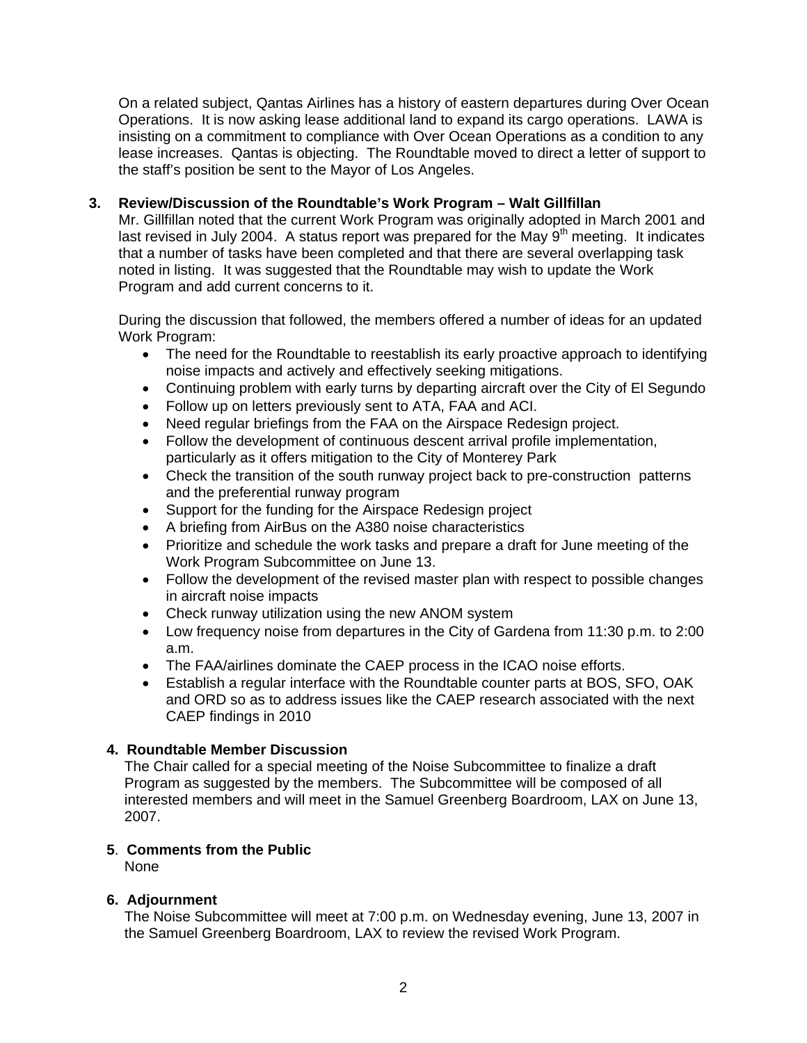On a related subject, Qantas Airlines has a history of eastern departures during Over Ocean Operations. It is now asking lease additional land to expand its cargo operations. LAWA is insisting on a commitment to compliance with Over Ocean Operations as a condition to any lease increases. Qantas is objecting. The Roundtable moved to direct a letter of support to the staff's position be sent to the Mayor of Los Angeles.

# **3. Review/Discussion of the Roundtable's Work Program – Walt Gillfillan**

Mr. Gillfillan noted that the current Work Program was originally adopted in March 2001 and last revised in July 2004. A status report was prepared for the May 9<sup>th</sup> meeting. It indicates that a number of tasks have been completed and that there are several overlapping task noted in listing. It was suggested that the Roundtable may wish to update the Work Program and add current concerns to it.

During the discussion that followed, the members offered a number of ideas for an updated Work Program:

- The need for the Roundtable to reestablish its early proactive approach to identifying noise impacts and actively and effectively seeking mitigations.
- Continuing problem with early turns by departing aircraft over the City of El Segundo
- Follow up on letters previously sent to ATA, FAA and ACI.
- Need regular briefings from the FAA on the Airspace Redesign project.
- Follow the development of continuous descent arrival profile implementation, particularly as it offers mitigation to the City of Monterey Park
- Check the transition of the south runway project back to pre-construction patterns and the preferential runway program
- Support for the funding for the Airspace Redesign project
- A briefing from AirBus on the A380 noise characteristics
- Prioritize and schedule the work tasks and prepare a draft for June meeting of the Work Program Subcommittee on June 13.
- Follow the development of the revised master plan with respect to possible changes in aircraft noise impacts
- Check runway utilization using the new ANOM system
- Low frequency noise from departures in the City of Gardena from 11:30 p.m. to 2:00 a.m.
- The FAA/airlines dominate the CAEP process in the ICAO noise efforts.
- Establish a regular interface with the Roundtable counter parts at BOS, SFO, OAK and ORD so as to address issues like the CAEP research associated with the next CAEP findings in 2010

# **4. Roundtable Member Discussion**

The Chair called for a special meeting of the Noise Subcommittee to finalize a draft Program as suggested by the members. The Subcommittee will be composed of all interested members and will meet in the Samuel Greenberg Boardroom, LAX on June 13, 2007.

### **5**. **Comments from the Public**

**None** 

### **6. Adjournment**

The Noise Subcommittee will meet at 7:00 p.m. on Wednesday evening, June 13, 2007 in the Samuel Greenberg Boardroom, LAX to review the revised Work Program.